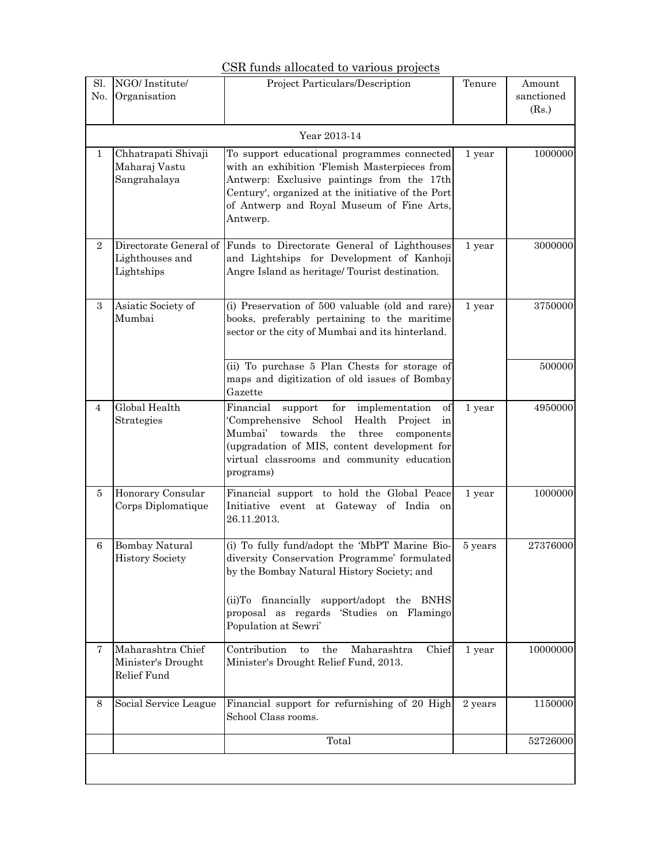## CSR funds allocated to various projects

| Sl.<br>No.     | NGO/Institute/<br>Organisation                         | Project Particulars/Description                                                                                                                                                                                                                                           | Tenure  | Amount<br>sanctioned<br>(Rs.) |
|----------------|--------------------------------------------------------|---------------------------------------------------------------------------------------------------------------------------------------------------------------------------------------------------------------------------------------------------------------------------|---------|-------------------------------|
|                | Year 2013-14                                           |                                                                                                                                                                                                                                                                           |         |                               |
| $\mathbf 1$    | Chhatrapati Shivaji<br>Maharaj Vastu<br>Sangrahalaya   | To support educational programmes connected<br>with an exhibition 'Flemish Masterpieces from<br>Antwerp: Exclusive paintings from the 17th<br>Century', organized at the initiative of the Port<br>of Antwerp and Royal Museum of Fine Arts,<br>Antwerp.                  | 1 year  | 1000000                       |
| $\overline{2}$ | Lighthouses and<br>Lightships                          | Directorate General of Funds to Directorate General of Lighthouses<br>and Lightships for Development of Kanhoji<br>Angre Island as heritage/ Tourist destination.                                                                                                         | 1 year  | 3000000                       |
| $\overline{3}$ | Asiatic Society of<br>Mumbai                           | (i) Preservation of 500 valuable (old and rare)<br>books, preferably pertaining to the maritime<br>sector or the city of Mumbai and its hinterland.                                                                                                                       | 1 year  | 3750000                       |
|                |                                                        | (ii) To purchase 5 Plan Chests for storage of<br>maps and digitization of old issues of Bombay<br>Gazette                                                                                                                                                                 |         | 500000                        |
| 4              | Global Health<br>Strategies                            | for<br>Financial<br>support<br>implementation<br>οf<br>School<br>'Comprehensive<br>Health<br>Project<br>in<br>Mumbai'<br>the<br>towards<br>three<br>components<br>(upgradation of MIS, content development for<br>virtual classrooms and community education<br>programs) | 1 year  | 4950000                       |
| 5              | Honorary Consular<br>Corps Diplomatique                | Financial support to hold the Global Peace<br>Initiative event at Gateway of India on<br>26.11.2013.                                                                                                                                                                      | 1 year  | 1000000                       |
| 6              | <b>Bombay Natural</b><br><b>History Society</b>        | (i) To fully fund/adopt the 'MbPT Marine Bio-<br>diversity Conservation Programme' formulated<br>by the Bombay Natural History Society; and<br>financially support/adopt the BNHS<br>$(ii)$ To<br>proposal as regards 'Studies on Flamingo<br>Population at Sewri'        | 5 years | 27376000                      |
| 7.             | Maharashtra Chief<br>Minister's Drought<br>Relief Fund | Contribution<br>Chief<br>the<br>Maharashtra<br>to<br>Minister's Drought Relief Fund, 2013.                                                                                                                                                                                | 1 year  | 10000000                      |
| 8              | Social Service League                                  | Financial support for refurnishing of 20 High<br>School Class rooms.                                                                                                                                                                                                      | 2 years | 1150000                       |
|                |                                                        | Total                                                                                                                                                                                                                                                                     |         | 52726000                      |
|                |                                                        |                                                                                                                                                                                                                                                                           |         |                               |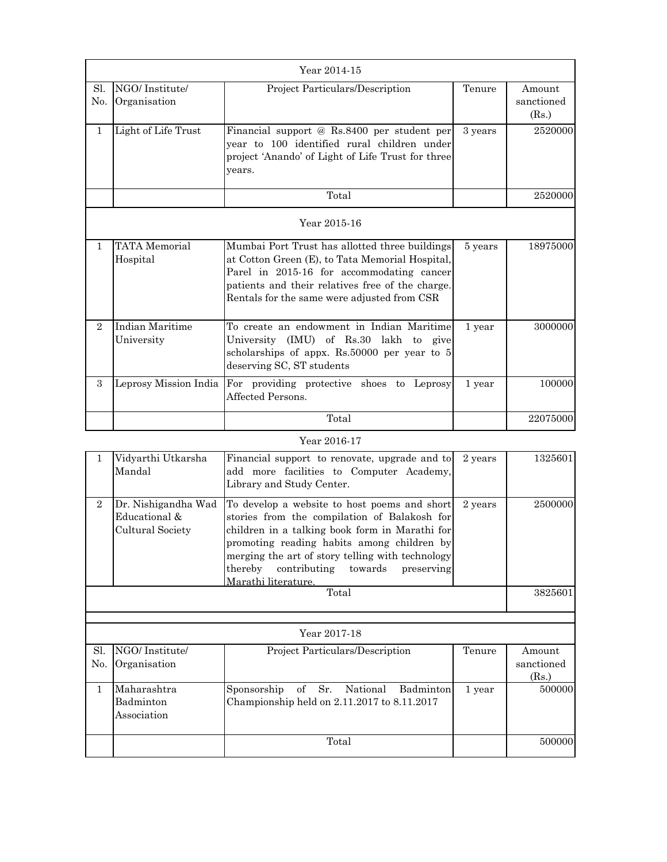| Year 2014-15   |                                  |                                                                                                                                                                                                                                                   |         |                               |
|----------------|----------------------------------|---------------------------------------------------------------------------------------------------------------------------------------------------------------------------------------------------------------------------------------------------|---------|-------------------------------|
| Sl.<br>No.     | NGO/Institute/<br>Organisation   | Project Particulars/Description                                                                                                                                                                                                                   | Tenure  | Amount<br>sanctioned<br>(Rs.) |
| $\mathbf{1}$   | Light of Life Trust              | Financial support @ Rs.8400 per student per<br>vear to 100 identified rural children under<br>project 'Anando' of Light of Life Trust for three<br>vears.                                                                                         | 3 years | 2520000                       |
|                |                                  | Total                                                                                                                                                                                                                                             |         | 2520000                       |
|                | Year 2015-16                     |                                                                                                                                                                                                                                                   |         |                               |
| $\mathbf{1}$   | <b>TATA</b> Memorial<br>Hospital | Mumbai Port Trust has allotted three buildings<br>at Cotton Green (E), to Tata Memorial Hospital,<br>Parel in 2015-16 for accommodating cancer<br>patients and their relatives free of the charge.<br>Rentals for the same were adjusted from CSR | 5 years | 18975000                      |
| $\overline{2}$ | Indian Maritime<br>University    | To create an endowment in Indian Maritime<br>University (IMU) of Rs.30 lakh to give<br>scholarships of appx. Rs.50000 per year to 5<br>deserving SC, ST students                                                                                  | 1 year  | 3000000                       |
| 3              | Leprosy Mission India            | For providing protective shoes to Leprosy<br>Affected Persons.                                                                                                                                                                                    | 1 year  | 100000                        |
|                |                                  | Total                                                                                                                                                                                                                                             |         | 22075000                      |

## Year 2016-17

|                | Vidyarthi Utkarsha<br>Mandal                             | Financial support to renovate, upgrade and to<br>add more facilities to Computer Academy,<br>Library and Study Center.                                                                                                                                                                                                | 2 years | 1325601                       |
|----------------|----------------------------------------------------------|-----------------------------------------------------------------------------------------------------------------------------------------------------------------------------------------------------------------------------------------------------------------------------------------------------------------------|---------|-------------------------------|
| $\overline{2}$ | Dr. Nishigandha Wad<br>Educational &<br>Cultural Society | To develop a website to host poems and short<br>stories from the compilation of Balakosh for<br>children in a talking book form in Marathi for<br>promoting reading habits among children by<br>merging the art of story telling with technology<br>thereby contributing towards<br>preserving<br>Marathi literature. | 2 years | 2500000                       |
| Total          |                                                          |                                                                                                                                                                                                                                                                                                                       |         | 3825601                       |
|                |                                                          |                                                                                                                                                                                                                                                                                                                       |         |                               |
|                |                                                          | Year 2017-18                                                                                                                                                                                                                                                                                                          |         |                               |
| Sl.<br>No.     | NGO/Institute/<br>Organisation                           | Project Particulars/Description                                                                                                                                                                                                                                                                                       | Tenure  | Amount<br>sanctioned<br>(Rs.) |
| 1              | Maharashtra<br>Badminton<br>Association                  | of Sr.<br>National<br>Sponsorship<br>Badminton<br>Championship held on $2.11.2017$ to $8.11.2017$                                                                                                                                                                                                                     | 1 year  | 500000                        |
|                |                                                          | Total                                                                                                                                                                                                                                                                                                                 |         | 500000                        |